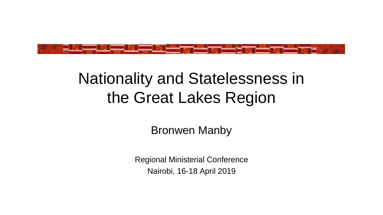

## Nationality and Statelessness in the Great Lakes Region

Bronwen Manby

Regional Ministerial Conference Nairobi, 16-18 April 2019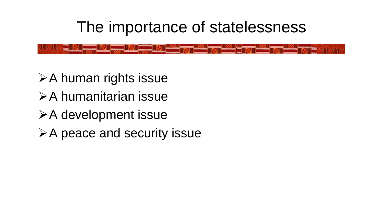#### The importance of statelessness

➢A human rights issue ➢A humanitarian issue ➢A development issue ➢A peace and security issue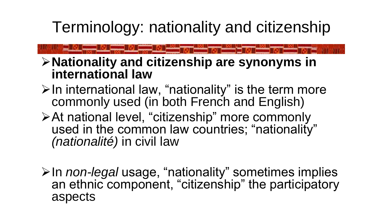Terminology: nationality and citizenship

➢**Nationality and citizenship are synonyms in international law**

- $\triangleright$  In international law, "nationality" is the term more commonly used (in both French and English)
- ➢At national level, "citizenship" more commonly used in the common law countries; "nationality" *(nationalité)* in civil law

➢In *non-legal* usage, "nationality" sometimes implies an ethnic component, "citizenship" the participatory aspects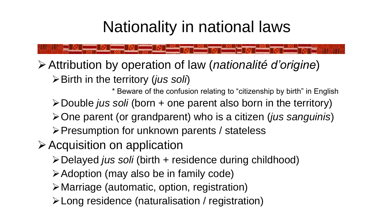## Nationality in national laws

➢Attribution by operation of law (*nationalité d'origine*)

➢Birth in the territory (*jus soli*)

\* Beware of the confusion relating to "citizenship by birth" in English ➢Double *jus soli* (born + one parent also born in the territory) ➢One parent (or grandparent) who is a citizen (*jus sanguinis*)

➢Presumption for unknown parents / stateless

➢Acquisition on application

- ➢Delayed *jus soli* (birth + residence during childhood)
- ➢Adoption (may also be in family code)
- ➢Marriage (automatic, option, registration)
- ➢Long residence (naturalisation / registration)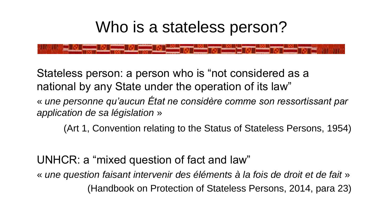### Who is a stateless person?

Stateless person: a person who is "not considered as a national by any State under the operation of its law"

« *une personne qu'aucun État ne considère comme son ressortissant par application de sa législation* »

(Art 1, Convention relating to the Status of Stateless Persons, 1954)

UNHCR: a "mixed question of fact and law"

« *une question faisant intervenir des éléments à la fois de droit et de fait* » (Handbook on Protection of Stateless Persons, 2014, para 23)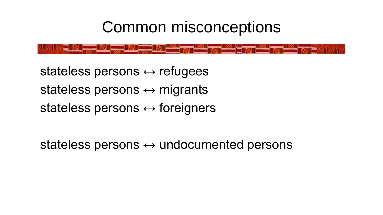### Common misconceptions

stateless persons  $\leftrightarrow$  refugees stateless persons  $\leftrightarrow$  migrants stateless persons  $\leftrightarrow$  foreigners

stateless persons  $\leftrightarrow$  undocumented persons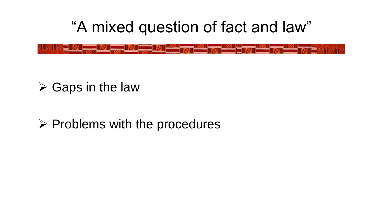"A mixed question of fact and law"

#### $\triangleright$  Gaps in the law

#### ➢ Problems with the procedures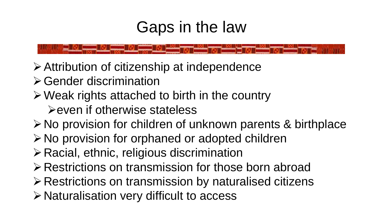### Gaps in the law

- ➢Attribution of citizenship at independence
- ➢Gender discrimination
- ➢Weak rights attached to birth in the country

➢even if otherwise stateless

➢No provision for children of unknown parents & birthplace

- ➢No provision for orphaned or adopted children
- ➢Racial, ethnic, religious discrimination
- ➢Restrictions on transmission for those born abroad
- ➢Restrictions on transmission by naturalised citizens
- ➢Naturalisation very difficult to access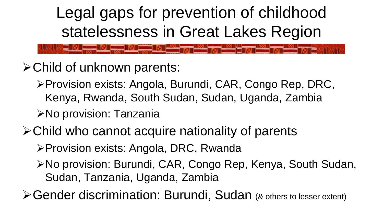Legal gaps for prevention of childhood statelessness in Great Lakes Region

- ➢Child of unknown parents:
	- ➢Provision exists: Angola, Burundi, CAR, Congo Rep, DRC, Kenya, Rwanda, South Sudan, Sudan, Uganda, Zambia

➢No provision: Tanzania

#### ➢Child who cannot acquire nationality of parents

➢Provision exists: Angola, DRC, Rwanda

➢No provision: Burundi, CAR, Congo Rep, Kenya, South Sudan, Sudan, Tanzania, Uganda, Zambia

➢Gender discrimination: Burundi, Sudan (& others to lesser extent)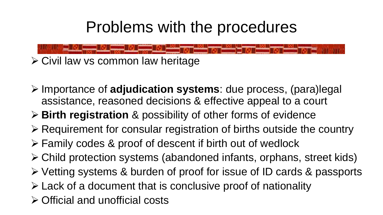### Problems with the procedures

- ➢ Civil law vs common law heritage
- ➢ Importance of **adjudication systems**: due process, (para)legal assistance, reasoned decisions & effective appeal to a court
- ➢ **Birth registration** & possibility of other forms of evidence
- ➢ Requirement for consular registration of births outside the country
- ➢ Family codes & proof of descent if birth out of wedlock
- ➢ Child protection systems (abandoned infants, orphans, street kids)
- ➢ Vetting systems & burden of proof for issue of ID cards & passports
- ➢ Lack of a document that is conclusive proof of nationality
- ➢ Official and unofficial costs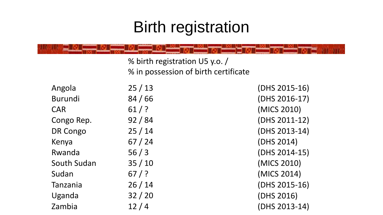# Birth registration

|             | % birth registration U5 y.o. /<br>% in possession of birth certificate |               |
|-------------|------------------------------------------------------------------------|---------------|
| Angola      | 25/13                                                                  | (DHS 2015-16) |
| Burundi     | 84/66                                                                  | (DHS 2016-17) |
| <b>CAR</b>  | $61/$ ?                                                                | (MICS 2010)   |
| Congo Rep.  | 92/84                                                                  | (DHS 2011-12) |
| DR Congo    | 25/14                                                                  | (DHS 2013-14) |
| Kenya       | 67/24                                                                  | (DHS 2014)    |
| Rwanda      | 56/3                                                                   | (DHS 2014-15) |
| South Sudan | 35/10                                                                  | (MICS 2010)   |
| Sudan       | $67/$ ?                                                                | (MICS 2014)   |
| Tanzania    | 26/14                                                                  | (DHS 2015-16) |
| Uganda      | 32/20                                                                  | (DHS 2016)    |
| Zambia      | 12/4                                                                   | (DHS 2013-14) |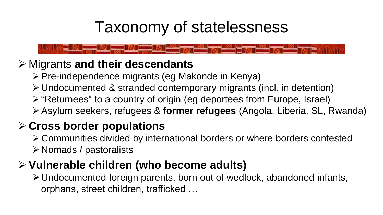## Taxonomy of statelessness

➢ Migrants **and their descendants**

- ➢Pre-independence migrants (eg Makonde in Kenya)
	- ➢Undocumented & stranded contemporary migrants (incl. in detention)
	- ➢"Returnees" to a country of origin (eg deportees from Europe, Israel)
	- ➢Asylum seekers, refugees & **former refugees** (Angola, Liberia, SL, Rwanda)

#### ➢ **Cross border populations**

- ➢Communities divided by international borders or where borders contested
- ➢Nomads / pastoralists

#### ➢ **Vulnerable children (who become adults)**

➢Undocumented foreign parents, born out of wedlock, abandoned infants, orphans, street children, trafficked …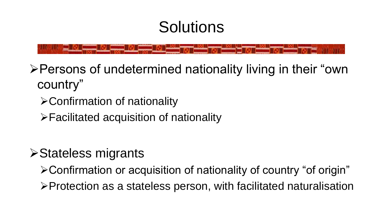## Solutions

➢Persons of undetermined nationality living in their "own country"

➢Confirmation of nationality

➢Facilitated acquisition of nationality

#### ➢Stateless migrants

➢Confirmation or acquisition of nationality of country "of origin"

➢Protection as a stateless person, with facilitated naturalisation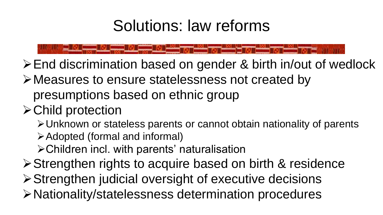## Solutions: law reforms

➢End discrimination based on gender & birth in/out of wedlock

➢Measures to ensure statelessness not created by presumptions based on ethnic group

#### ➢Child protection

➢Unknown or stateless parents or cannot obtain nationality of parents

➢Adopted (formal and informal)

➢Children incl. with parents' naturalisation

➢Strengthen rights to acquire based on birth & residence

➢Strengthen judicial oversight of executive decisions

➢Nationality/statelessness determination procedures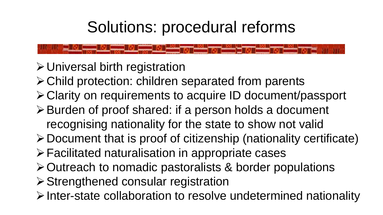# Solutions: procedural reforms

- ➢Universal birth registration
- ➢Child protection: children separated from parents
- ➢Clarity on requirements to acquire ID document/passport
- ➢Burden of proof shared: if a person holds a document recognising nationality for the state to show not valid
- ➢Document that is proof of citizenship (nationality certificate)
- ➢Facilitated naturalisation in appropriate cases
- ➢Outreach to nomadic pastoralists & border populations
- ➢Strengthened consular registration
- ➢Inter-state collaboration to resolve undetermined nationality